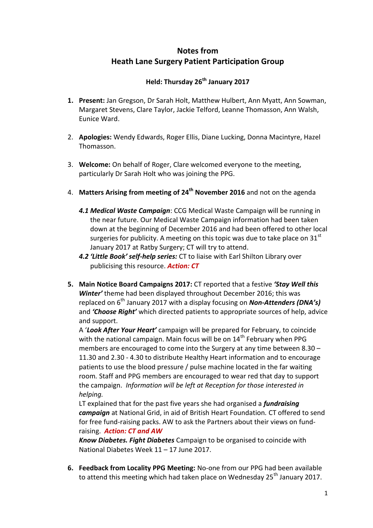## **Notes from Heath Lane Surgery Patient Participation Group**

## **Held: Thursday 26th January 2017**

- **1. Present:** Jan Gregson, Dr Sarah Holt, Matthew Hulbert, Ann Myatt, Ann Sowman, Margaret Stevens, Clare Taylor, Jackie Telford, Leanne Thomasson, Ann Walsh, Eunice Ward.
- 2. **Apologies:** Wendy Edwards, Roger Ellis, Diane Lucking, Donna Macintyre, Hazel Thomasson.
- 3. **Welcome:** On behalf of Roger, Clare welcomed everyone to the meeting, particularly Dr Sarah Holt who was joining the PPG.
- 4. **Matters Arising from meeting of 24th November 2016** and not on the agenda
	- *4.1 Medical Waste Campaign*: CCG Medical Waste Campaign will be running in the near future. Our Medical Waste Campaign information had been taken down at the beginning of December 2016 and had been offered to other local surgeries for publicity. A meeting on this topic was due to take place on  $31<sup>st</sup>$ January 2017 at Ratby Surgery; CT will try to attend.
	- *4.2 'Little Book' self-help series:* CT to liaise with Earl Shilton Library over publicising this resource. *Action: CT*
- **5. Main Notice Board Campaigns 2017:** CT reported that a festive *'Stay Well this Winter'* theme had been displayed throughout December 2016; this was replaced on 6th January 2017 with a display focusing on *Non-Attenders (DNA's)* and *'Choose Right'* which directed patients to appropriate sources of help, advice and support.

A '*Look After Your Heart'* campaign will be prepared for February, to coincide with the national campaign. Main focus will be on  $14<sup>th</sup>$  February when PPG members are encouraged to come into the Surgery at any time between 8.30 – 11.30 and 2.30 - 4.30 to distribute Healthy Heart information and to encourage patients to use the blood pressure / pulse machine located in the far waiting room*.* Staff and PPG members are encouraged to wear red that day to support the campaign. *Information will be left at Reception for those interested in helping.*

LT explained that for the past five years she had organised a *fundraising campaign* at National Grid, in aid of British Heart Foundation*.* CT offered to send for free fund-raising packs. AW to ask the Partners about their views on fundraising. *Action: CT and AW*

*Know Diabetes. Fight Diabetes* Campaign to be organised to coincide with National Diabetes Week 11 – 17 June 2017.

**6. Feedback from Locality PPG Meeting:** No-one from our PPG had been available to attend this meeting which had taken place on Wednesday 25<sup>th</sup> January 2017.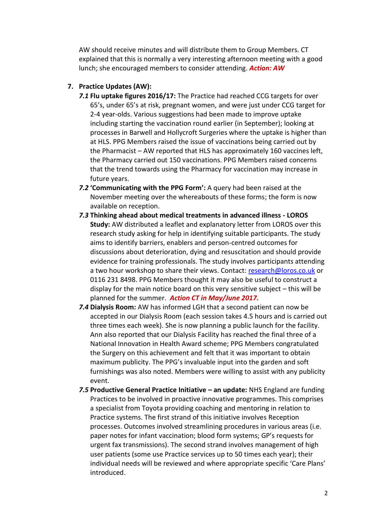AW should receive minutes and will distribute them to Group Members. CT explained that this is normally a very interesting afternoon meeting with a good lunch; she encouraged members to consider attending. *Action: AW*

## **7. Practice Updates (AW):**

- *7.1* **Flu uptake figures 2016/17:** The Practice had reached CCG targets for over 65's, under 65's at risk, pregnant women, and were just under CCG target for 2-4 year-olds. Various suggestions had been made to improve uptake including starting the vaccination round earlier (in September); looking at processes in Barwell and Hollycroft Surgeries where the uptake is higher than at HLS. PPG Members raised the issue of vaccinations being carried out by the Pharmacist – AW reported that HLS has approximately 160 vaccines left, the Pharmacy carried out 150 vaccinations. PPG Members raised concerns that the trend towards using the Pharmacy for vaccination may increase in future years.
- *7.2* **'Communicating with the PPG Form':** A query had been raised at the November meeting over the whereabouts of these forms; the form is now available on reception.
- *7.3* **Thinking ahead about medical treatments in advanced illness - LOROS Study:** AW distributed a leaflet and explanatory letter from LOROS over this research study asking for help in identifying suitable participants. The study aims to identify barriers, enablers and person-centred outcomes for discussions about deterioration, dying and resuscitation and should provide evidence for training professionals. The study involves participants attending a two hour workshop to share their views. Contact: [research@loros.co.uk](mailto:research@loros.co.uk) or 0116 231 8498. PPG Members thought it may also be useful to construct a display for the main notice board on this very sensitive subject – this will be planned for the summer. *Action CT in May/June 2017.*
- *7.4* **Dialysis Room:** AW has informed LGH that a second patient can now be accepted in our Dialysis Room (each session takes 4.5 hours and is carried out three times each week). She is now planning a public launch for the facility. Ann also reported that our Dialysis Facility has reached the final three of a National Innovation in Health Award scheme; PPG Members congratulated the Surgery on this achievement and felt that it was important to obtain maximum publicity. The PPG's invaluable input into the garden and soft furnishings was also noted. Members were willing to assist with any publicity event.
- **7.5 Productive General Practice Initiative an update: NHS England are funding** Practices to be involved in proactive innovative programmes. This comprises a specialist from Toyota providing coaching and mentoring in relation to Practice systems. The first strand of this initiative involves Reception processes. Outcomes involved streamlining procedures in various areas (i.e. paper notes for infant vaccination; blood form systems; GP's requests for urgent fax transmissions). The second strand involves management of high user patients (some use Practice services up to 50 times each year); their individual needs will be reviewed and where appropriate specific 'Care Plans' introduced.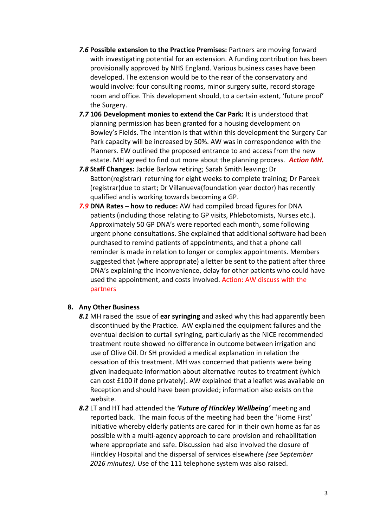- *7.6* **Possible extension to the Practice Premises:** Partners are moving forward with investigating potential for an extension. A funding contribution has been provisionally approved by NHS England. Various business cases have been developed. The extension would be to the rear of the conservatory and would involve: four consulting rooms, minor surgery suite, record storage room and office. This development should, to a certain extent, 'future proof' the Surgery.
- *7.7* **106 Development monies to extend the Car Park:** It is understood that planning permission has been granted for a housing development on Bowley's Fields. The intention is that within this development the Surgery Car Park capacity will be increased by 50%. AW was in correspondence with the Planners. EW outlined the proposed entrance to and access from the new estate. MH agreed to find out more about the planning process. *Action MH.*
- *7.8* **Staff Changes:** Jackie Barlow retiring; Sarah Smith leaving; Dr Batton(registrar) returning for eight weeks to complete training; Dr Pareek (registrar)due to start; Dr Villanueva(foundation year doctor) has recently qualified and is working towards becoming a GP.
- *7.9* **DNA Rates – how to reduce:** AW had compiled broad figures for DNA patients (including those relating to GP visits, Phlebotomists, Nurses etc.). Approximately 50 GP DNA's were reported each month, some following urgent phone consultations. She explained that additional software had been purchased to remind patients of appointments, and that a phone call reminder is made in relation to longer or complex appointments. Members suggested that (where appropriate) a letter be sent to the patient after three DNA's explaining the inconvenience, delay for other patients who could have used the appointment, and costs involved. Action: AW discuss with the partners

## **8. Any Other Business**

- *8.1* MH raised the issue of **ear syringing** and asked why this had apparently been discontinued by the Practice. AW explained the equipment failures and the eventual decision to curtail syringing, particularly as the NICE recommended treatment route showed no difference in outcome between irrigation and use of Olive Oil. Dr SH provided a medical explanation in relation the cessation of this treatment. MH was concerned that patients were being given inadequate information about alternative routes to treatment (which can cost £100 if done privately). AW explained that a leaflet was available on Reception and should have been provided; information also exists on the website.
- *8.2* LT and HT had attended the *'Future of Hinckley Wellbeing'* meeting and reported back. The main focus of the meeting had been the 'Home First' initiative whereby elderly patients are cared for in their own home as far as possible with a multi-agency approach to care provision and rehabilitation where appropriate and safe. Discussion had also involved the closure of Hinckley Hospital and the dispersal of services elsewhere *(see September 2016 minutes). U*se of the 111 telephone system was also raised.